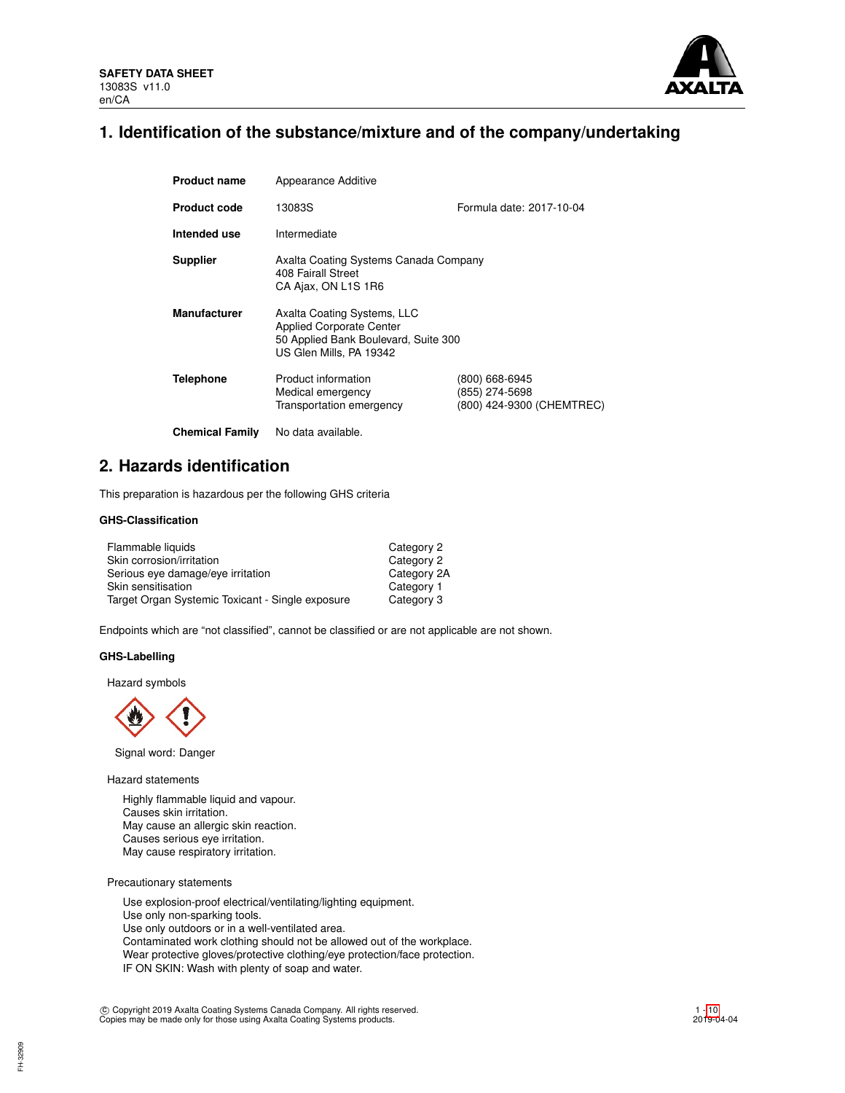

# **1. Identification of the substance/mixture and of the company/undertaking**

| <b>Product name</b>    | Appearance Additive                                                                                                               |                                                               |
|------------------------|-----------------------------------------------------------------------------------------------------------------------------------|---------------------------------------------------------------|
| <b>Product code</b>    | 13083S                                                                                                                            | Formula date: 2017-10-04                                      |
| Intended use           | Intermediate                                                                                                                      |                                                               |
| <b>Supplier</b>        | Axalta Coating Systems Canada Company<br>408 Fairall Street<br>CA Ajax, ON L1S 1R6                                                |                                                               |
| <b>Manufacturer</b>    | Axalta Coating Systems, LLC<br><b>Applied Corporate Center</b><br>50 Applied Bank Boulevard, Suite 300<br>US Glen Mills, PA 19342 |                                                               |
| <b>Telephone</b>       | Product information<br>Medical emergency<br>Transportation emergency                                                              | (800) 668-6945<br>(855) 274-5698<br>(800) 424-9300 (CHEMTREC) |
| <b>Chemical Family</b> | No data available.                                                                                                                |                                                               |

# **2. Hazards identification**

This preparation is hazardous per the following GHS criteria

# **GHS-Classification**

| Flammable liquids                                | Category 2  |
|--------------------------------------------------|-------------|
| Skin corrosion/irritation                        | Category 2  |
| Serious eye damage/eye irritation                | Category 2A |
| Skin sensitisation                               | Category 1  |
| Target Organ Systemic Toxicant - Single exposure | Category 3  |

Endpoints which are "not classified", cannot be classified or are not applicable are not shown.

## **GHS-Labelling**

Hazard symbols



Signal word: Danger

Hazard statements

Highly flammable liquid and vapour. Causes skin irritation. May cause an allergic skin reaction. Causes serious eye irritation. May cause respiratory irritation.

Precautionary statements

Use explosion-proof electrical/ventilating/lighting equipment. Use only non-sparking tools. Use only outdoors or in a well-ventilated area. Contaminated work clothing should not be allowed out of the workplace. Wear protective gloves/protective clothing/eye protection/face protection. IF ON SKIN: Wash with plenty of soap and water.

c Copyright 2019 Axalta Coating Systems Canada Company. All rights reserved. Copies may be made only for those using Axalta Coating Systems products.

FH-32909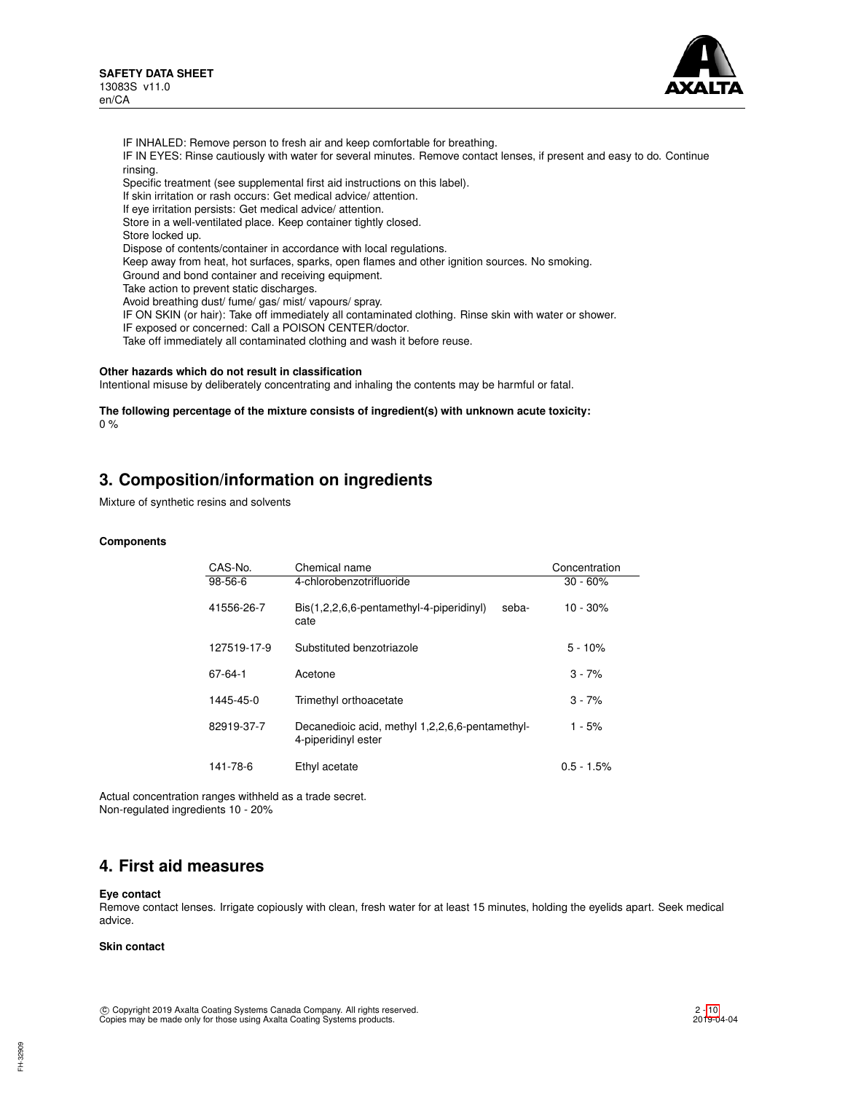

IF INHALED: Remove person to fresh air and keep comfortable for breathing. IF IN EYES: Rinse cautiously with water for several minutes. Remove contact lenses, if present and easy to do. Continue rinsing. Specific treatment (see supplemental first aid instructions on this label). If skin irritation or rash occurs: Get medical advice/ attention. If eye irritation persists: Get medical advice/ attention. Store in a well-ventilated place. Keep container tightly closed. Store locked up. Dispose of contents/container in accordance with local regulations. Keep away from heat, hot surfaces, sparks, open flames and other ignition sources. No smoking. Ground and bond container and receiving equipment. Take action to prevent static discharges. Avoid breathing dust/ fume/ gas/ mist/ vapours/ spray. IF ON SKIN (or hair): Take off immediately all contaminated clothing. Rinse skin with water or shower. IF exposed or concerned: Call a POISON CENTER/doctor. Take off immediately all contaminated clothing and wash it before reuse.

## **Other hazards which do not result in classification**

Intentional misuse by deliberately concentrating and inhaling the contents may be harmful or fatal.

**The following percentage of the mixture consists of ingredient(s) with unknown acute toxicity:** 0 %

# **3. Composition/information on ingredients**

Mixture of synthetic resins and solvents

### **Components**

| CAS-No.     | Chemical name                                                          | Concentration |
|-------------|------------------------------------------------------------------------|---------------|
| $98-56-6$   | 4-chlorobenzotrifluoride                                               | $30 - 60%$    |
| 41556-26-7  | Bis(1,2,2,6,6-pentamethyl-4-piperidinyl)<br>seba-<br>cate              | $10 - 30%$    |
| 127519-17-9 | Substituted benzotriazole                                              | $5 - 10%$     |
| 67-64-1     | Acetone                                                                | $3 - 7%$      |
| 1445-45-0   | Trimethyl orthoacetate                                                 | $3 - 7%$      |
| 82919-37-7  | Decanedioic acid, methyl 1,2,2,6,6-pentamethyl-<br>4-piperidinyl ester | 1 - 5%        |
| 141-78-6    | Ethyl acetate                                                          | $0.5 - 1.5%$  |

Actual concentration ranges withheld as a trade secret. Non-regulated ingredients 10 - 20%

# **4. First aid measures**

#### **Eye contact**

Remove contact lenses. Irrigate copiously with clean, fresh water for at least 15 minutes, holding the eyelids apart. Seek medical advice.

## **Skin contact**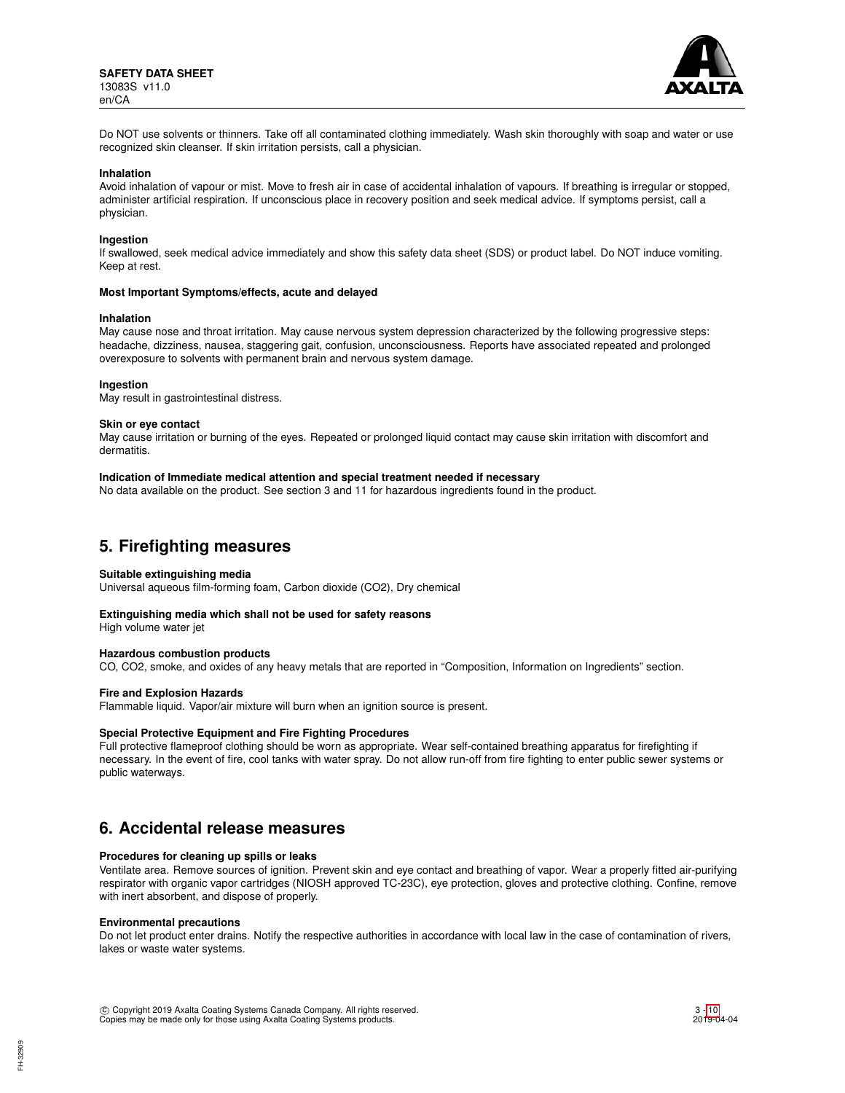

Do NOT use solvents or thinners. Take off all contaminated clothing immediately. Wash skin thoroughly with soap and water or use recognized skin cleanser. If skin irritation persists, call a physician.

#### **Inhalation**

Avoid inhalation of vapour or mist. Move to fresh air in case of accidental inhalation of vapours. If breathing is irregular or stopped, administer artificial respiration. If unconscious place in recovery position and seek medical advice. If symptoms persist, call a physician.

### **Ingestion**

If swallowed, seek medical advice immediately and show this safety data sheet (SDS) or product label. Do NOT induce vomiting. Keep at rest.

### **Most Important Symptoms/effects, acute and delayed**

#### **Inhalation**

May cause nose and throat irritation. May cause nervous system depression characterized by the following progressive steps: headache, dizziness, nausea, staggering gait, confusion, unconsciousness. Reports have associated repeated and prolonged overexposure to solvents with permanent brain and nervous system damage.

### **Ingestion**

May result in gastrointestinal distress.

#### **Skin or eye contact**

May cause irritation or burning of the eyes. Repeated or prolonged liquid contact may cause skin irritation with discomfort and dermatitis.

## **Indication of Immediate medical attention and special treatment needed if necessary**

No data available on the product. See section 3 and 11 for hazardous ingredients found in the product.

# **5. Firefighting measures**

### **Suitable extinguishing media**

Universal aqueous film-forming foam, Carbon dioxide (CO2), Dry chemical

### **Extinguishing media which shall not be used for safety reasons**

High volume water jet

### **Hazardous combustion products**

CO, CO2, smoke, and oxides of any heavy metals that are reported in "Composition, Information on Ingredients" section.

### **Fire and Explosion Hazards**

Flammable liquid. Vapor/air mixture will burn when an ignition source is present.

### **Special Protective Equipment and Fire Fighting Procedures**

Full protective flameproof clothing should be worn as appropriate. Wear self-contained breathing apparatus for firefighting if necessary. In the event of fire, cool tanks with water spray. Do not allow run-off from fire fighting to enter public sewer systems or public waterways.

# **6. Accidental release measures**

### **Procedures for cleaning up spills or leaks**

Ventilate area. Remove sources of ignition. Prevent skin and eye contact and breathing of vapor. Wear a properly fitted air-purifying respirator with organic vapor cartridges (NIOSH approved TC-23C), eye protection, gloves and protective clothing. Confine, remove with inert absorbent, and dispose of properly.

### **Environmental precautions**

Do not let product enter drains. Notify the respective authorities in accordance with local law in the case of contamination of rivers, lakes or waste water systems.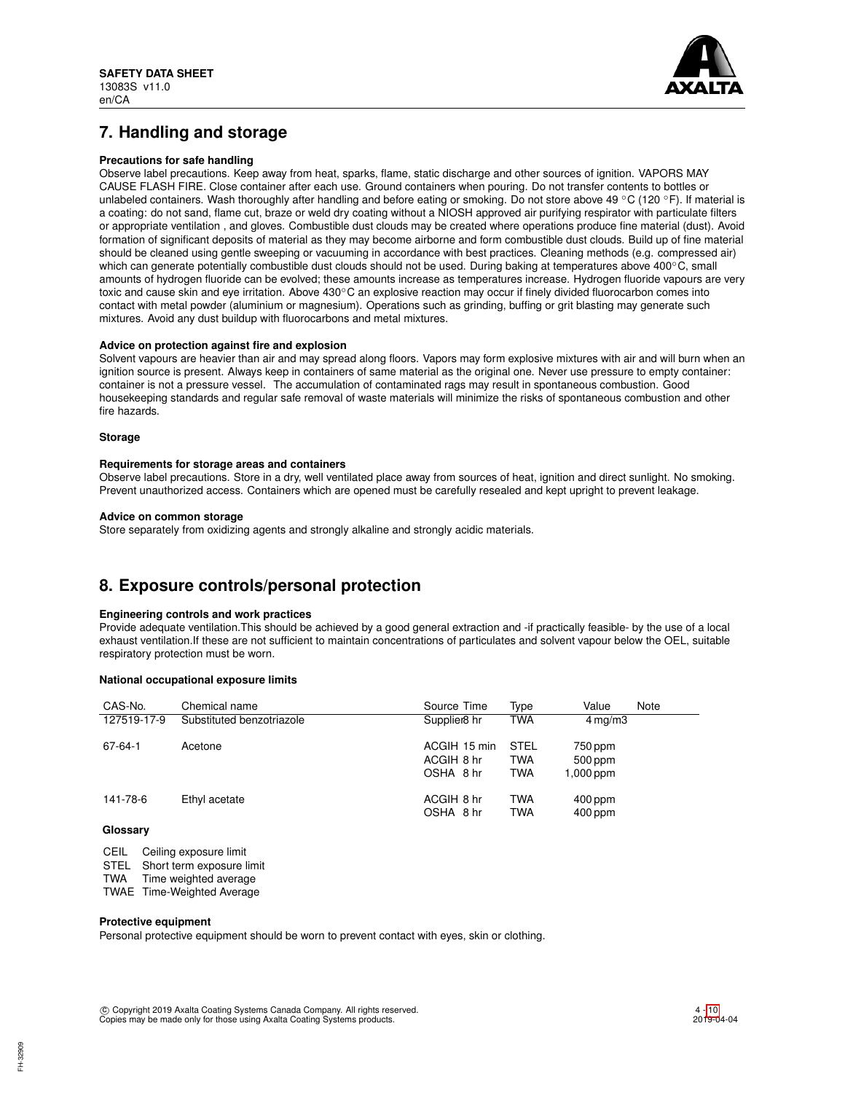

# **7. Handling and storage**

## **Precautions for safe handling**

Observe label precautions. Keep away from heat, sparks, flame, static discharge and other sources of ignition. VAPORS MAY CAUSE FLASH FIRE. Close container after each use. Ground containers when pouring. Do not transfer contents to bottles or unlabeled containers. Wash thoroughly after handling and before eating or smoking. Do not store above 49 °C (120 °F). If material is a coating: do not sand, flame cut, braze or weld dry coating without a NIOSH approved air purifying respirator with particulate filters or appropriate ventilation , and gloves. Combustible dust clouds may be created where operations produce fine material (dust). Avoid formation of significant deposits of material as they may become airborne and form combustible dust clouds. Build up of fine material should be cleaned using gentle sweeping or vacuuming in accordance with best practices. Cleaning methods (e.g. compressed air) which can generate potentially combustible dust clouds should not be used. During baking at temperatures above 400℃, small amounts of hydrogen fluoride can be evolved; these amounts increase as temperatures increase. Hydrogen fluoride vapours are very toxic and cause skin and eye irritation. Above 430℃ an explosive reaction may occur if finely divided fluorocarbon comes into contact with metal powder (aluminium or magnesium). Operations such as grinding, buffing or grit blasting may generate such mixtures. Avoid any dust buildup with fluorocarbons and metal mixtures.

## **Advice on protection against fire and explosion**

Solvent vapours are heavier than air and may spread along floors. Vapors may form explosive mixtures with air and will burn when an ignition source is present. Always keep in containers of same material as the original one. Never use pressure to empty container: container is not a pressure vessel. The accumulation of contaminated rags may result in spontaneous combustion. Good housekeeping standards and regular safe removal of waste materials will minimize the risks of spontaneous combustion and other fire hazards.

### **Storage**

## **Requirements for storage areas and containers**

Observe label precautions. Store in a dry, well ventilated place away from sources of heat, ignition and direct sunlight. No smoking. Prevent unauthorized access. Containers which are opened must be carefully resealed and kept upright to prevent leakage.

## **Advice on common storage**

Store separately from oxidizing agents and strongly alkaline and strongly acidic materials.

# **8. Exposure controls/personal protection**

## **Engineering controls and work practices**

Provide adequate ventilation.This should be achieved by a good general extraction and -if practically feasible- by the use of a local exhaust ventilation.If these are not sufficient to maintain concentrations of particulates and solvent vapour below the OEL, suitable respiratory protection must be worn.

## **National occupational exposure limits**

| CAS-No.     | Chemical name             | Source Time                             | Type                                    | Value<br>Note                     |
|-------------|---------------------------|-----------------------------------------|-----------------------------------------|-----------------------------------|
| 127519-17-9 | Substituted benzotriazole | Supplier <sub>8</sub> hr                | <b>TWA</b>                              | $4 \,\mathrm{mq/m}$ 3             |
| 67-64-1     | Acetone                   | ACGIH 15 min<br>ACGIH 8 hr<br>OSHA 8 hr | <b>STEL</b><br><b>TWA</b><br><b>TWA</b> | 750 ppm<br>500 ppm<br>$1,000$ ppm |
| 141-78-6    | Ethyl acetate             | ACGIH 8 hr<br>OSHA 8 hr                 | <b>TWA</b><br><b>TWA</b>                | $400$ ppm<br>$400$ ppm            |
| Glossary    |                           |                                         |                                         |                                   |

CEIL Ceiling exposure limit

STEL Short term exposure limit<br>TWA Time weighted average

Time weighted average

TWAE Time-Weighted Average

### **Protective equipment**

Personal protective equipment should be worn to prevent contact with eyes, skin or clothing.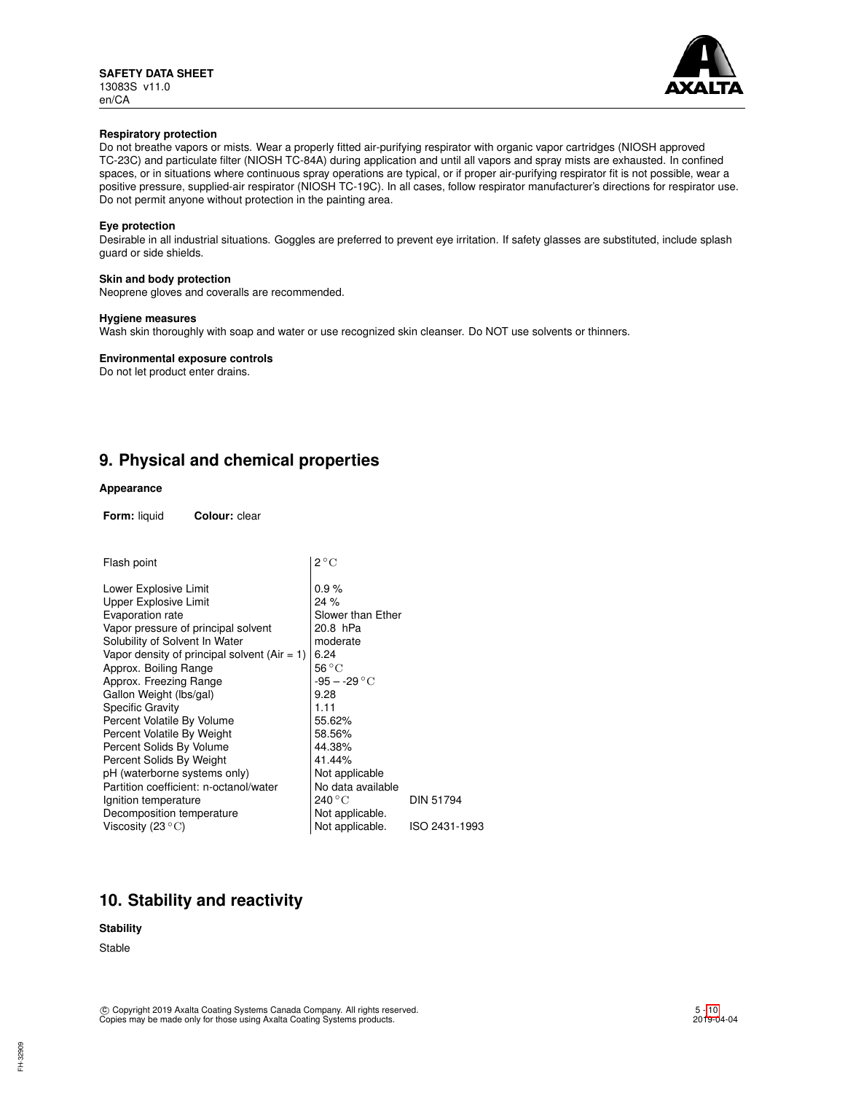

## **Respiratory protection**

Do not breathe vapors or mists. Wear a properly fitted air-purifying respirator with organic vapor cartridges (NIOSH approved TC-23C) and particulate filter (NIOSH TC-84A) during application and until all vapors and spray mists are exhausted. In confined spaces, or in situations where continuous spray operations are typical, or if proper air-purifying respirator fit is not possible, wear a positive pressure, supplied-air respirator (NIOSH TC-19C). In all cases, follow respirator manufacturer's directions for respirator use. Do not permit anyone without protection in the painting area.

## **Eye protection**

Desirable in all industrial situations. Goggles are preferred to prevent eye irritation. If safety glasses are substituted, include splash guard or side shields.

### **Skin and body protection**

Neoprene gloves and coveralls are recommended.

### **Hygiene measures**

Wash skin thoroughly with soap and water or use recognized skin cleanser. Do NOT use solvents or thinners.

### **Environmental exposure controls**

Do not let product enter drains.

# **9. Physical and chemical properties**

### **Appearance**

**Form:** liquid **Colour:** clear

| Flash point                                  | $2^{\circ}C$          |                  |
|----------------------------------------------|-----------------------|------------------|
| Lower Explosive Limit                        | 0.9%                  |                  |
| Upper Explosive Limit                        | 24%                   |                  |
| Evaporation rate                             | Slower than Ether     |                  |
| Vapor pressure of principal solvent          | 20.8 hPa              |                  |
| Solubility of Solvent In Water               | moderate              |                  |
| Vapor density of principal solvent (Air = 1) | 6.24                  |                  |
| Approx. Boiling Range                        | 56 °C                 |                  |
| Approx. Freezing Range                       | $-95 - -29\text{ °C}$ |                  |
| Gallon Weight (lbs/gal)                      | 9.28                  |                  |
| <b>Specific Gravity</b>                      | 1.11                  |                  |
| Percent Volatile By Volume                   | 55.62%                |                  |
| Percent Volatile By Weight                   | 58.56%                |                  |
| Percent Solids By Volume                     | 44.38%                |                  |
| Percent Solids By Weight                     | 41.44%                |                  |
| pH (waterborne systems only)                 | Not applicable        |                  |
| Partition coefficient: n-octanol/water       | No data available     |                  |
| Ignition temperature                         | 240 °C                | <b>DIN 51794</b> |
| Decomposition temperature                    | Not applicable.       |                  |
| Viscosity (23 $\rm ^{\circ}C)$               | Not applicable.       | ISO 2431-1993    |

# **10. Stability and reactivity**

### **Stability**

Stable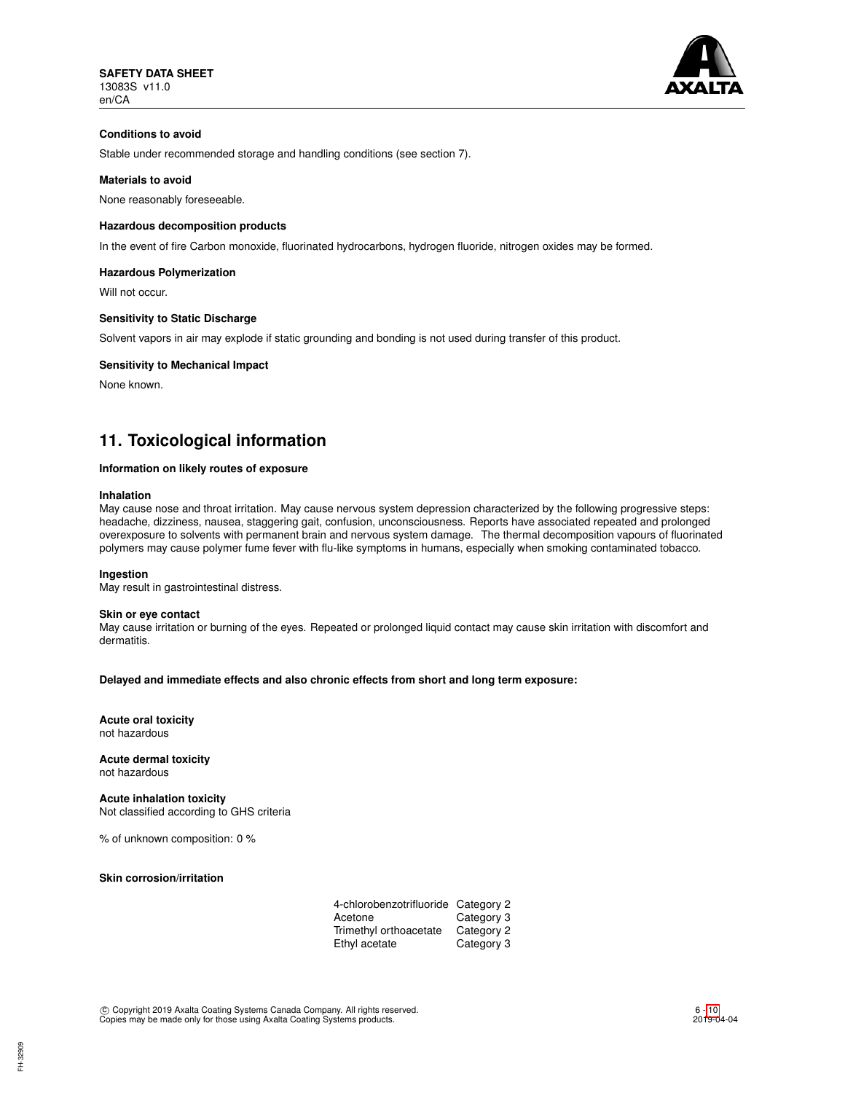

# **Conditions to avoid**

Stable under recommended storage and handling conditions (see section 7).

## **Materials to avoid**

None reasonably foreseeable.

## **Hazardous decomposition products**

In the event of fire Carbon monoxide, fluorinated hydrocarbons, hydrogen fluoride, nitrogen oxides may be formed.

### **Hazardous Polymerization**

Will not occur.

## **Sensitivity to Static Discharge**

Solvent vapors in air may explode if static grounding and bonding is not used during transfer of this product.

## **Sensitivity to Mechanical Impact**

None known.

# **11. Toxicological information**

### **Information on likely routes of exposure**

### **Inhalation**

May cause nose and throat irritation. May cause nervous system depression characterized by the following progressive steps: headache, dizziness, nausea, staggering gait, confusion, unconsciousness. Reports have associated repeated and prolonged overexposure to solvents with permanent brain and nervous system damage. The thermal decomposition vapours of fluorinated polymers may cause polymer fume fever with flu-like symptoms in humans, especially when smoking contaminated tobacco.

### **Ingestion**

May result in gastrointestinal distress.

### **Skin or eye contact**

May cause irritation or burning of the eyes. Repeated or prolonged liquid contact may cause skin irritation with discomfort and dermatitis.

### **Delayed and immediate effects and also chronic effects from short and long term exposure:**

**Acute oral toxicity** not hazardous

**Acute dermal toxicity** not hazardous

**Acute inhalation toxicity** Not classified according to GHS criteria

% of unknown composition: 0 %

### **Skin corrosion/irritation**

| 4-chlorobenzotrifluoride Category 2 |            |
|-------------------------------------|------------|
| Acetone                             | Category 3 |
| Trimethyl orthoacetate              | Category 2 |
| Ethyl acetate                       | Category 3 |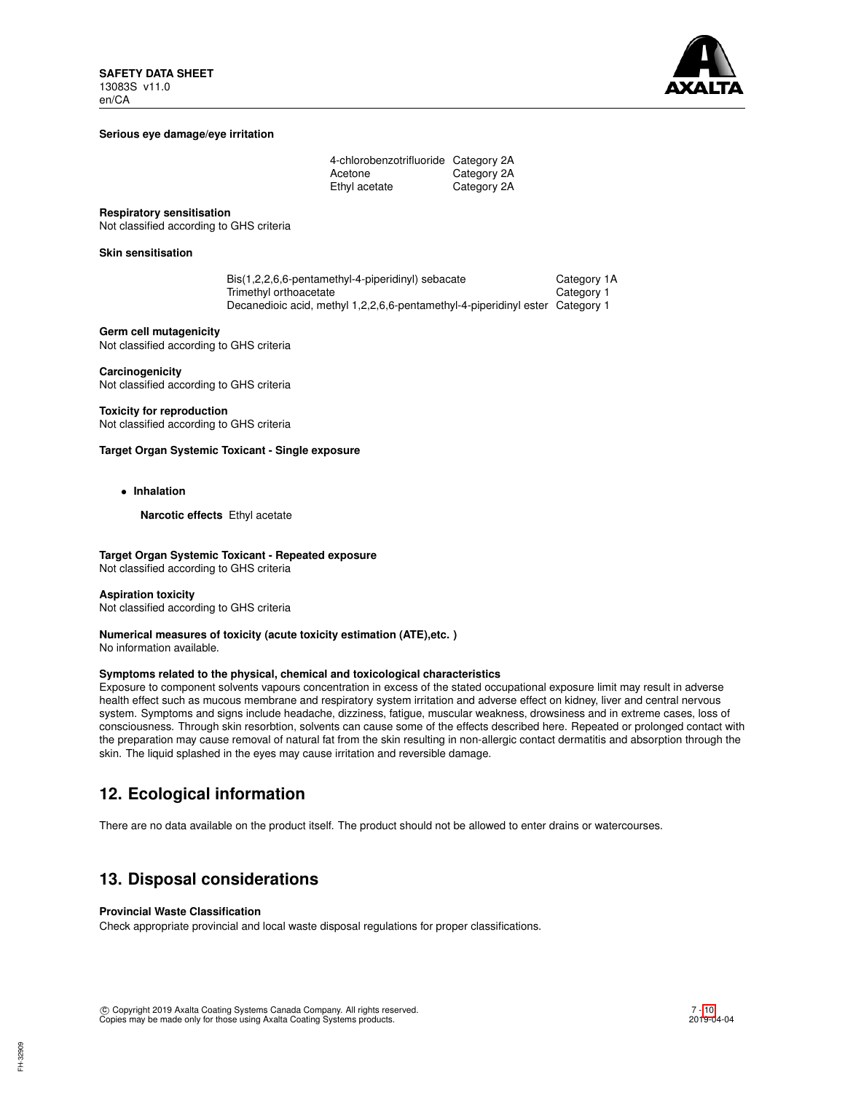

## **Serious eye damage/eye irritation**

| 4-chlorobenzotrifluoride Category 2A |             |
|--------------------------------------|-------------|
| Acetone                              | Category 2A |
| Ethyl acetate                        | Category 2A |

### **Respiratory sensitisation**

Not classified according to GHS criteria

## **Skin sensitisation**

| Bis(1,2,2,6,6-pentamethyl-4-piperidinyl) sebacate                             | Category 1A |
|-------------------------------------------------------------------------------|-------------|
| Trimethyl orthoacetate                                                        | Category 1  |
| Decanedioic acid, methyl 1,2,2,6,6-pentamethyl-4-piperidinyl ester Category 1 |             |

## **Germ cell mutagenicity**

Not classified according to GHS criteria

# **Carcinogenicity**

Not classified according to GHS criteria

# **Toxicity for reproduction**

Not classified according to GHS criteria

## **Target Organ Systemic Toxicant - Single exposure**

• **Inhalation**

**Narcotic effects** Ethyl acetate

## **Target Organ Systemic Toxicant - Repeated exposure**

Not classified according to GHS criteria

### **Aspiration toxicity**

Not classified according to GHS criteria

# **Numerical measures of toxicity (acute toxicity estimation (ATE),etc. )**

No information available.

# **Symptoms related to the physical, chemical and toxicological characteristics**

Exposure to component solvents vapours concentration in excess of the stated occupational exposure limit may result in adverse health effect such as mucous membrane and respiratory system irritation and adverse effect on kidney, liver and central nervous system. Symptoms and signs include headache, dizziness, fatigue, muscular weakness, drowsiness and in extreme cases, loss of consciousness. Through skin resorbtion, solvents can cause some of the effects described here. Repeated or prolonged contact with the preparation may cause removal of natural fat from the skin resulting in non-allergic contact dermatitis and absorption through the skin. The liquid splashed in the eyes may cause irritation and reversible damage.

# **12. Ecological information**

There are no data available on the product itself. The product should not be allowed to enter drains or watercourses.

# **13. Disposal considerations**

# **Provincial Waste Classification**

Check appropriate provincial and local waste disposal regulations for proper classifications.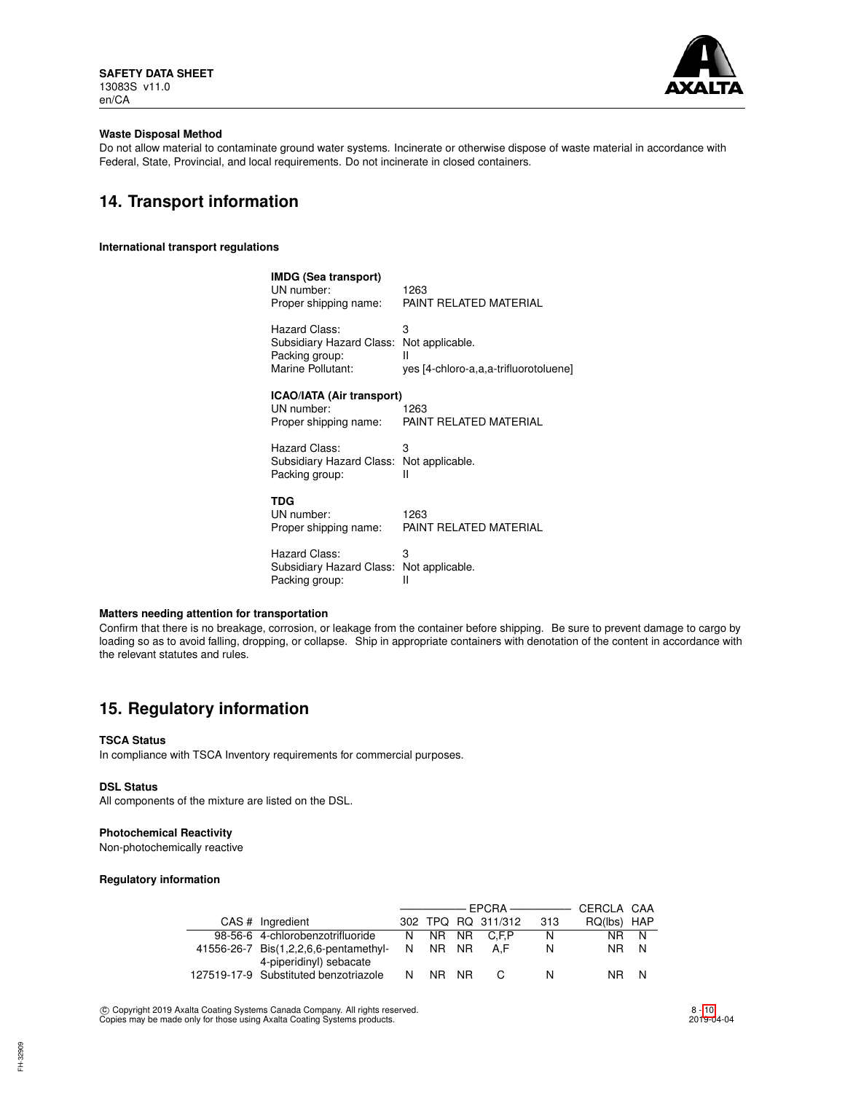

## **Waste Disposal Method**

Do not allow material to contaminate ground water systems. Incinerate or otherwise dispose of waste material in accordance with Federal, State, Provincial, and local requirements. Do not incinerate in closed containers.

# **14. Transport information**

**International transport regulations**

| IMDG (Sea transport)<br>UN number:<br>Proper shipping name:                      | 1263<br>PAINT RELATED MATERIAL                                     |
|----------------------------------------------------------------------------------|--------------------------------------------------------------------|
| Hazard Class:<br>Subsidiary Hazard Class:<br>Packing group:<br>Marine Pollutant: | 3<br>Not applicable.<br>Ш<br>yes [4-chloro-a,a,a-trifluorotoluene] |
| ICAO/IATA (Air transport)<br>UN number:<br>Proper shipping name:                 | 1263<br>PAINT RELATED MATERIAL                                     |
| Hazard Class:<br>Subsidiary Hazard Class: Not applicable.<br>Packing group:      | З<br>н                                                             |
| TDG<br>UN number:<br>Proper shipping name:                                       | 1263<br>PAINT RELATED MATERIAL                                     |
| Hazard Class:<br>Subsidiary Hazard Class:<br>Packing group:                      | З<br>Not applicable.<br>Ш                                          |

# **Matters needing attention for transportation**

Confirm that there is no breakage, corrosion, or leakage from the container before shipping. Be sure to prevent damage to cargo by loading so as to avoid falling, dropping, or collapse. Ship in appropriate containers with denotation of the content in accordance with the relevant statutes and rules.

# **15. Regulatory information**

# **TSCA Status**

In compliance with TSCA Inventory requirements for commercial purposes.

#### **DSL Status**

All components of the mixture are listed on the DSL.

## **Photochemical Reactivity**

Non-photochemically reactive

## **Regulatory information**

|  |                                                                  | ———————————————————— |       |  |                    |     | CERCLA CAA  |      |
|--|------------------------------------------------------------------|----------------------|-------|--|--------------------|-----|-------------|------|
|  | CAS # Ingredient                                                 |                      |       |  | 302 TPQ RQ 311/312 | 313 | RQ(lbs) HAP |      |
|  | 98-56-6 4-chlorobenzotrifluoride                                 | N.                   |       |  | NR NR C.F.P        | N   |             | NR N |
|  | 41556-26-7 Bis(1,2,2,6,6-pentamethyl-                            | N.                   | NR NR |  | A.F                | N   | NR N        |      |
|  | 4-piperidinyl) sebacate<br>127519-17-9 Substituted benzotriazole | N                    | NR NR |  |                    | N   | NR I        |      |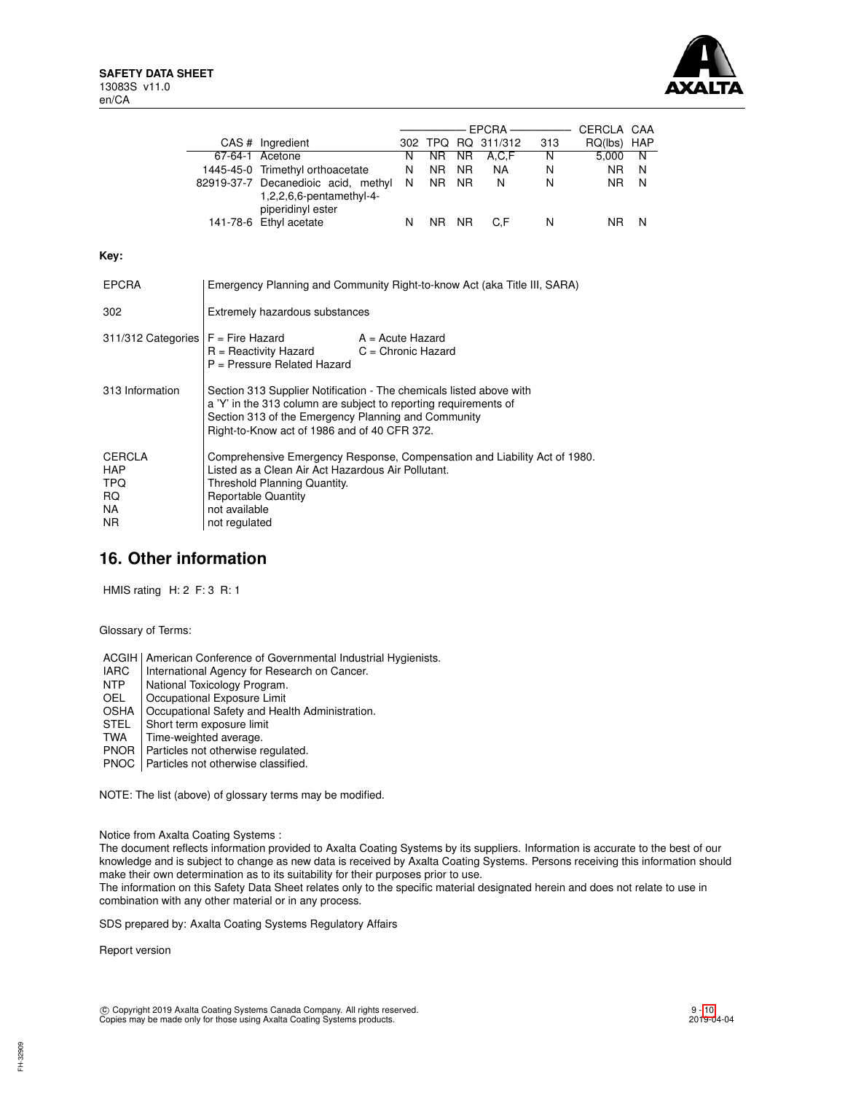**Key:**



|                                                                      |                                                                                                                                                                                                                                                |                                                                                                                                                                                        |   |                |           |                    |     | CERCLA CAA  |   |
|----------------------------------------------------------------------|------------------------------------------------------------------------------------------------------------------------------------------------------------------------------------------------------------------------------------------------|----------------------------------------------------------------------------------------------------------------------------------------------------------------------------------------|---|----------------|-----------|--------------------|-----|-------------|---|
|                                                                      |                                                                                                                                                                                                                                                | CAS # Ingredient                                                                                                                                                                       |   |                |           | 302 TPQ RQ 311/312 | 313 | RQ(lbs) HAP |   |
|                                                                      |                                                                                                                                                                                                                                                | 67-64-1 Acetone                                                                                                                                                                        | N | NR.            | <b>NR</b> | A, C, F            | N   | 5,000       | N |
|                                                                      |                                                                                                                                                                                                                                                | 1445-45-0 Trimethyl orthoacetate                                                                                                                                                       | N | NR.            | NR.       | NA.                | N   | NR.         | N |
|                                                                      |                                                                                                                                                                                                                                                | 82919-37-7 Decanedioic acid, methyl<br>$1,2,2,6,6$ -pentamethyl-4-<br>piperidinyl ester                                                                                                | N | N <sub>R</sub> | <b>NR</b> | N                  | N   | <b>NR</b>   | N |
|                                                                      |                                                                                                                                                                                                                                                | 141-78-6 Ethyl acetate                                                                                                                                                                 | N | NR NR          |           | C.F                | N   | NR.         | N |
| Kev:                                                                 |                                                                                                                                                                                                                                                |                                                                                                                                                                                        |   |                |           |                    |     |             |   |
| <b>EPCRA</b>                                                         |                                                                                                                                                                                                                                                | Emergency Planning and Community Right-to-know Act (aka Title III, SARA)                                                                                                               |   |                |           |                    |     |             |   |
| 302                                                                  |                                                                                                                                                                                                                                                | Extremely hazardous substances                                                                                                                                                         |   |                |           |                    |     |             |   |
| 311/312 Categories $F =$ Fire Hazard                                 |                                                                                                                                                                                                                                                | $A = Acute$ Hazard<br>$R =$ Reactivity Hazard<br>$C =$ Chronic Hazard<br>P = Pressure Related Hazard                                                                                   |   |                |           |                    |     |             |   |
| 313 Information                                                      | Section 313 Supplier Notification - The chemicals listed above with<br>a 'Y' in the 313 column are subject to reporting requirements of<br>Section 313 of the Emergency Planning and Community<br>Right-to-Know act of 1986 and of 40 CFR 372. |                                                                                                                                                                                        |   |                |           |                    |     |             |   |
| <b>CERCLA</b><br><b>HAP</b><br><b>TPQ</b><br><b>RQ</b><br>NA.<br>NR. | not available<br>not regulated                                                                                                                                                                                                                 | Comprehensive Emergency Response, Compensation and Liability Act of 1980.<br>Listed as a Clean Air Act Hazardous Air Pollutant.<br>Threshold Planning Quantity.<br>Reportable Quantity |   |                |           |                    |     |             |   |

# **16. Other information**

HMIS rating H: 2 F: 3 R: 1

Glossary of Terms:

ACGIH | American Conference of Governmental Industrial Hygienists.<br>
IARC | International Agency for Research on Cancer.

- IARC | International Agency for Research on Cancer.<br>NTP | National Toxicology Program.
- NTP | National Toxicology Program.<br>
OEL | Occupational Exposure Limit
- Occupational Exposure Limit
- OSHA | Occupational Safety and Health Administration.
- STEL Short term exposure limit<br>TWA Time-weighted average.
- TWA Time-weighted average.<br>PNOR Particles not otherwise re
- Particles not otherwise regulated.
- PNOC | Particles not otherwise classified.

NOTE: The list (above) of glossary terms may be modified.

Notice from Axalta Coating Systems :

The document reflects information provided to Axalta Coating Systems by its suppliers. Information is accurate to the best of our knowledge and is subject to change as new data is received by Axalta Coating Systems. Persons receiving this information should make their own determination as to its suitability for their purposes prior to use.

The information on this Safety Data Sheet relates only to the specific material designated herein and does not relate to use in combination with any other material or in any process.

SDS prepared by: Axalta Coating Systems Regulatory Affairs

Report version